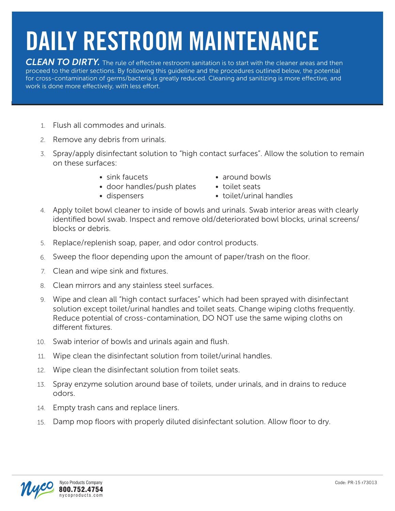## **DAILY RESTROOM MAINTENANCE**

**CLEAN TO DIRTY.** The rule of effective restroom sanitation is to start with the cleaner areas and then proceed to the dirtier sections. By following this guideline and the procedures outlined below, the potential for cross-contamination of germs/bacteria is greatly reduced. Cleaning and sanitizing is more effective, and work is done more effectively, with less effort.

- Flush all commodes and urinals. 1.
- 2. Remove any debris from urinals.
- 3. Spray/apply disinfectant solution to "high contact surfaces". Allow the solution to remain on these surfaces:
	-
	- door handles/push plates toilet seats
	-
	- sink faucets around bowls
		-
	- dispensers **•** toilet/urinal handles
- 4. Apply toilet bowl cleaner to inside of bowls and urinals. Swab interior areas with clearly identified bowl swab. Inspect and remove old/deteriorated bowl blocks, urinal screens/ blocks or debris.
- 5. Replace/replenish soap, paper, and odor control products.
- Sweep the floor depending upon the amount of paper/trash on the floor. 6.
- 7. Clean and wipe sink and fixtures.
- Clean mirrors and any stainless steel surfaces. 8.
- 9. Wipe and clean all "high contact surfaces" which had been sprayed with disinfectant solution except toilet/urinal handles and toilet seats. Change wiping cloths frequently. Reduce potential of cross-contamination, DO NOT use the same wiping cloths on different fixtures.
- 10. Swab interior of bowls and urinals again and flush.
- Wipe clean the disinfectant solution from toilet/urinal handles. 11.
- Wipe clean the disinfectant solution from toilet seats. 12.
- 13. Spray enzyme solution around base of toilets, under urinals, and in drains to reduce odors.
- 14. Empty trash cans and replace liners.
- Damp mop floors with properly diluted disinfectant solution. Allow floor to dry. 15.